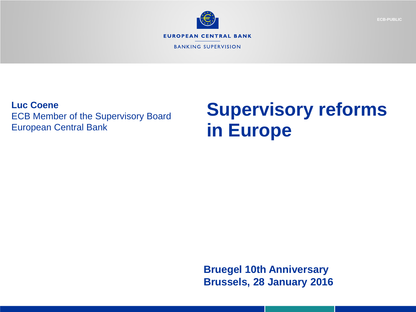

**EUROPEAN CENTRAL BANK** 

**BANKING SUPERVISION** 

**Luc Coene** ECB Member of the Supervisory Board European Central Bank

# **Supervisory reforms in Europe**

**Bruegel 10th Anniversary Brussels, 28 January 2016**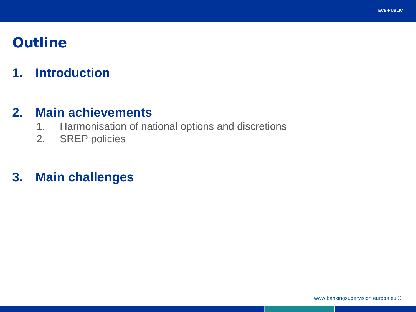# **Outline**

# **1. Introduction**

### **2. Main achievements**

- 1. Harmonisation of national options and discretions
- 2. SREP policies

# **3. Main challenges**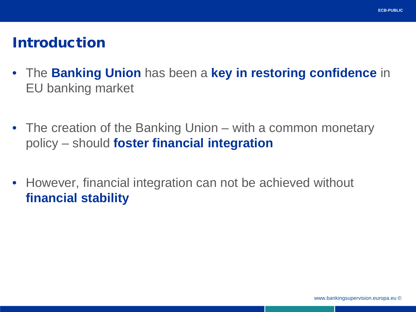# Introduction

- The **Banking Union** has been a **key in restoring confidence** in EU banking market
- The creation of the Banking Union with a common monetary policy – should **foster financial integration**
- However, financial integration can not be achieved without **financial stability**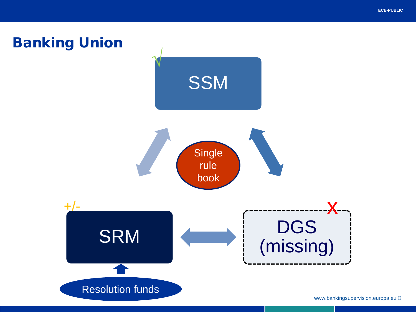

www.bankingsupervision.europa.eu ©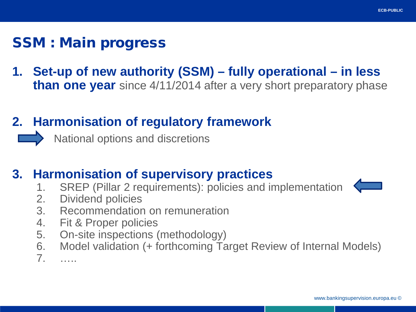### SSM : Main progress

**1. Set-up of new authority (SSM) – fully operational – in less than one year** since 4/11/2014 after a very short preparatory phase

### **2. Harmonisation of regulatory framework**

National options and discretions

#### **3. Harmonisation of supervisory practices**

1. SREP (Pillar 2 requirements): policies and implementation



- 2. Dividend policies
- 3. Recommendation on remuneration
- 4. Fit & Proper policies
- 5. On-site inspections (methodology)
- 6. Model validation (+ forthcoming Target Review of Internal Models) 7. …..

www.bankingsupervision.europa.eu ©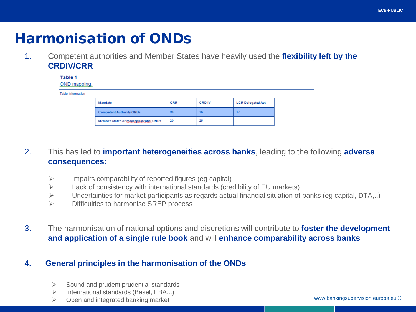# Harmonisation of ONDs

1. Competent authorities and Member States have heavily used the **flexibility left by the CRDIV/CRR** 

| Table 1<br>OND mapping. |                                       |            |               |                          |
|-------------------------|---------------------------------------|------------|---------------|--------------------------|
| Table information       |                                       |            |               |                          |
|                         | Mandate                               | <b>CRR</b> | <b>CRD IV</b> | <b>LCR Delegated Act</b> |
|                         | <b>Competent Authority ONDs</b>       | 94         | 16            | 12                       |
|                         | Member States or macroprudential ONDs | 20         | 25            |                          |

- 2. This has led to **important heterogeneities across banks**, leading to the following **adverse consequences:**
	- $\triangleright$  Impairs comparability of reported figures (eg capital)
	- $\triangleright$  Lack of consistency with international standards (credibility of EU markets)
	- Uncertainties for market participants as regards actual financial situation of banks (eg capital, DTA,..)
	- Difficulties to harmonise SREP process
- 3. The harmonisation of national options and discretions will contribute to **foster the development and application of a single rule book** and will **enhance comparability across banks**

#### **4. General principles in the harmonisation of the ONDs**

- $\triangleright$  Sound and prudent prudential standards
- $\triangleright$  International standards (Basel, EBA,..)
- Open and integrated banking market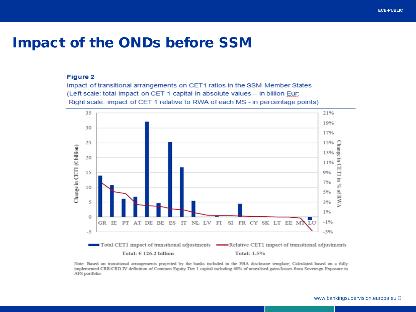### Impact of the ONDs before SSM

#### Figure 2

Impact of transitional arrangements on CET1 ratios in the SSM Member States (Left scale: total impact on CET 1 capital in absolute values - in billion Eur; Right scale: impact of CET 1 relative to RWA of each MS - in percentage points)



Note: Based on transitional arrangements projected by the banks included in the EBA disclosure template; Calculated based on a fully implemented CRR/CRD IV definition of Common Equity Tier 1 capital including 60% of unrealised gains/losses from Sovereign Exposure in AFS portfolio.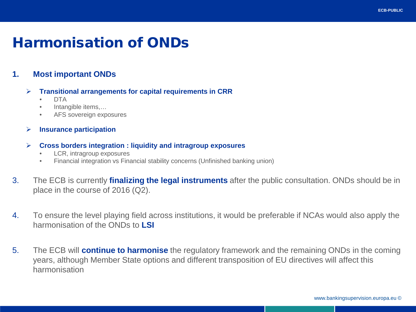# Harmonisation of ONDs

#### **1. Most important ONDs**

- **Transitional arrangements for capital requirements in CRR**
	- DTA
	- Intangible items,...
	- AFS sovereign exposures
- **Insurance participation**

#### **Cross borders integration : liquidity and intragroup exposures**

- LCR, intragroup exposures
- Financial integration vs Financial stability concerns (Unfinished banking union)
- 3. The ECB is currently **finalizing the legal instruments** after the public consultation. ONDs should be in place in the course of 2016 (Q2).
- 4. To ensure the level playing field across institutions, it would be preferable if NCAs would also apply the harmonisation of the ONDs to **LSI**
- 5. The ECB will **continue to harmonise** the regulatory framework and the remaining ONDs in the coming years, although Member State options and different transposition of EU directives will affect this harmonisation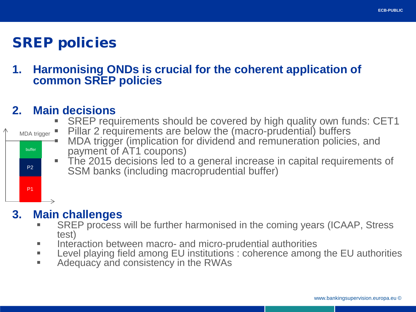# SREP policies

#### **1. Harmonising ONDs is crucial for the coherent application of common SREP policies**

#### **2. Main decisions**

- SREP requirements should be covered by high quality own funds: CET1
- Pillar 2 requirements are below the (macro-prudential) buffers
- MDA trigger (implication for dividend and remuneration policies, and payment of AT1 coupons)
	- The 2015 decisions led to a general increase in capital requirements of SSM banks (including macroprudential buffer)

### **3. Main challenges**

P1

P2

buffer

MDA trigger

- SREP process will be further harmonised in the coming years (ICAAP, Stress test)
- Interaction between macro- and micro-prudential authorities
- **Level playing field among EU institutions : coherence among the EU authorities**
- **Adequacy and consistency in the RWAs**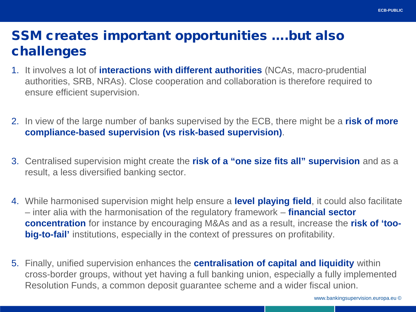# SSM creates important opportunities ….but also challenges

- 1. It involves a lot of **interactions with different authorities** (NCAs, macro-prudential authorities, SRB, NRAs). Close cooperation and collaboration is therefore required to ensure efficient supervision.
- 2. In view of the large number of banks supervised by the ECB, there might be a **risk of more compliance-based supervision (vs risk-based supervision)**.
- 3. Centralised supervision might create the **risk of a "one size fits all" supervision** and as a result, a less diversified banking sector.
- 4. While harmonised supervision might help ensure a **level playing field**, it could also facilitate – inter alia with the harmonisation of the regulatory framework – **financial sector concentration** for instance by encouraging M&As and as a result, increase the **risk of 'toobig-to-fail'** institutions, especially in the context of pressures on profitability.
- 5. Finally, unified supervision enhances the **centralisation of capital and liquidity** within cross-border groups, without yet having a full banking union, especially a fully implemented Resolution Funds, a common deposit guarantee scheme and a wider fiscal union.